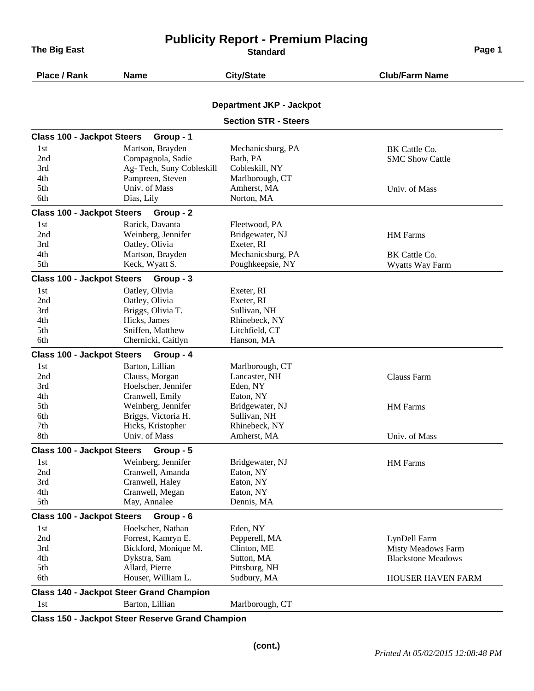**The Big East Page 1 CONSISTENT CONSISTENT CONSISTENT CONSISTENT CONSISTENT CONSISTENT CONSISTENT CONSISTENT CONSISTENT CONSISTENT CONSISTENT CONSISTENT CONSISTENT CONSISTENT CONSISTENT CONSISTENT CONSISTENT CONSISTENT** 

## **Publicity Report - Premium Placing**

| Place / Rank                      | <b>Name</b>                                     | <b>City/State</b>               | <b>Club/Farm Name</b>     |
|-----------------------------------|-------------------------------------------------|---------------------------------|---------------------------|
|                                   |                                                 | <b>Department JKP - Jackpot</b> |                           |
|                                   |                                                 | <b>Section STR - Steers</b>     |                           |
| <b>Class 100 - Jackpot Steers</b> | Group - 1                                       |                                 |                           |
| 1st                               | Martson, Brayden                                | Mechanicsburg, PA               | BK Cattle Co.             |
| 2nd                               | Compagnola, Sadie                               | Bath, PA                        | <b>SMC Show Cattle</b>    |
| 3rd                               | Ag- Tech, Suny Cobleskill                       | Cobleskill, NY                  |                           |
| 4th                               | Pampreen, Steven                                | Marlborough, CT                 |                           |
| 5th                               | Univ. of Mass                                   | Amherst, MA                     | Univ. of Mass             |
| 6th                               | Dias, Lily                                      | Norton, MA                      |                           |
| <b>Class 100 - Jackpot Steers</b> | Group - 2                                       |                                 |                           |
| 1st                               | Rarick, Davanta                                 | Fleetwood, PA                   |                           |
| 2nd                               | Weinberg, Jennifer                              | Bridgewater, NJ                 | <b>HM</b> Farms           |
| 3rd                               | Oatley, Olivia                                  | Exeter, RI                      |                           |
| 4th                               | Martson, Brayden                                | Mechanicsburg, PA               | BK Cattle Co.             |
| 5th                               | Keck, Wyatt S.                                  | Poughkeepsie, NY                | Wyatts Way Farm           |
| <b>Class 100 - Jackpot Steers</b> | Group - 3                                       |                                 |                           |
| 1st                               | Oatley, Olivia                                  | Exeter, RI                      |                           |
| 2nd                               | Oatley, Olivia                                  | Exeter, RI                      |                           |
| 3rd                               | Briggs, Olivia T.                               | Sullivan, NH                    |                           |
| 4th                               | Hicks, James                                    | Rhinebeck, NY                   |                           |
| 5th                               | Sniffen, Matthew                                | Litchfield, CT                  |                           |
| 6th                               | Chernicki, Caitlyn                              | Hanson, MA                      |                           |
| <b>Class 100 - Jackpot Steers</b> | Group - 4                                       |                                 |                           |
| 1st                               | Barton, Lillian                                 | Marlborough, CT                 |                           |
| 2nd                               | Clauss, Morgan                                  | Lancaster, NH                   | Clauss Farm               |
| 3rd                               | Hoelscher, Jennifer                             | Eden, NY                        |                           |
| 4th                               | Cranwell, Emily                                 | Eaton, NY                       |                           |
| 5th                               | Weinberg, Jennifer                              | Bridgewater, NJ                 | <b>HM</b> Farms           |
| 6th                               | Briggs, Victoria H.                             | Sullivan, NH                    |                           |
| 7th                               | Hicks, Kristopher                               | Rhinebeck, NY                   |                           |
| 8th                               | Univ. of Mass                                   | Amherst, MA                     | Univ. of Mass             |
| <b>Class 100 - Jackpot Steers</b> | Group - 5                                       |                                 |                           |
| 1st                               | Weinberg, Jennifer                              | Bridgewater, NJ                 | <b>HM</b> Farms           |
| 2nd                               | Cranwell, Amanda                                | Eaton, NY                       |                           |
| 3rd                               | Cranwell, Haley                                 | Eaton, NY                       |                           |
| 4th                               | Cranwell, Megan                                 | Eaton, NY                       |                           |
| 5th                               | May, Annalee                                    | Dennis, MA                      |                           |
| <b>Class 100 - Jackpot Steers</b> | Group - 6                                       |                                 |                           |
| 1st                               | Hoelscher, Nathan                               | Eden, NY                        |                           |
| 2nd                               | Forrest, Kamryn E.                              | Pepperell, MA                   | LynDell Farm              |
| 3rd                               | Bickford, Monique M.                            | Clinton, ME                     | Misty Meadows Farm        |
| 4th                               | Dykstra, Sam                                    | Sutton, MA                      | <b>Blackstone Meadows</b> |
| 5th                               | Allard, Pierre                                  | Pittsburg, NH                   |                           |
| 6th                               | Houser, William L.                              | Sudbury, MA                     | HOUSER HAVEN FARM         |
|                                   | <b>Class 140 - Jackpot Steer Grand Champion</b> |                                 |                           |
| 1st                               | Barton, Lillian                                 | Marlborough, CT                 |                           |

**Class 150 - Jackpot Steer Reserve Grand Champion**